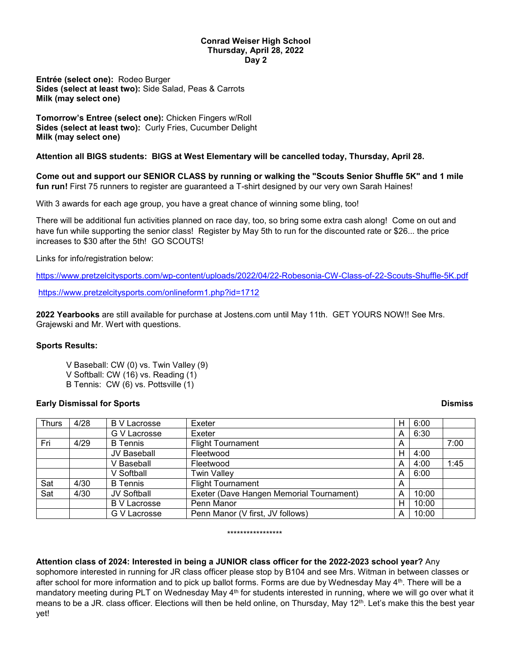### **Conrad Weiser High School Thursday, April 28, 2022 Day 2**

**Entrée (select one):** Rodeo Burger **Sides (select at least two):** Side Salad, Peas & Carrots **Milk (may select one)**

**Tomorrow's Entree (select one):** Chicken Fingers w/Roll **Sides (select at least two):** Curly Fries, Cucumber Delight **Milk (may select one)**

# **Attention all BIGS students: BIGS at West Elementary will be cancelled today, Thursday, April 28.**

**Come out and support our SENIOR CLASS by running or walking the "Scouts Senior Shuffle 5K" and 1 mile fun run!** First 75 runners to register are guaranteed a T-shirt designed by our very own Sarah Haines!

With 3 awards for each age group, you have a great chance of winning some bling, too!

There will be additional fun activities planned on race day, too, so bring some extra cash along! Come on out and have fun while supporting the senior class! Register by May 5th to run for the discounted rate or \$26... the price increases to \$30 after the 5th! GO SCOUTS!

Links for info/registration below:

<https://www.pretzelcitysports.com/wp-content/uploads/2022/04/22-Robesonia-CW-Class-of-22-Scouts-Shuffle-5K.pdf>

<https://www.pretzelcitysports.com/onlineform1.php?id=1712>

**2022 Yearbooks** are still available for purchase at Jostens.com until May 11th. GET YOURS NOW!! See Mrs. Grajewski and Mr. Wert with questions.

# **Sports Results:**

- V Baseball: CW (0) vs. Twin Valley (9)
- V Softball: CW (16) vs. Reading (1)
- B Tennis: CW (6) vs. Pottsville (1)

# **Early Dismissal for Sports Dismiss**

| <b>Thurs</b> | 4/28 | <b>B</b> V Lacrosse | Exeter                                   | H | 6:00  |      |
|--------------|------|---------------------|------------------------------------------|---|-------|------|
|              |      | G V Lacrosse        | Exeter                                   | A | 6:30  |      |
| Fri          | 4/29 | <b>B</b> Tennis     | <b>Flight Tournament</b>                 | A |       | 7:00 |
|              |      | JV Baseball         | Fleetwood                                | н | 4:00  |      |
|              |      | V Baseball          | Fleetwood                                | A | 4:00  | 1:45 |
|              |      | V Softball          | <b>Twin Valley</b>                       | A | 6:00  |      |
| Sat          | 4/30 | <b>B</b> Tennis     | <b>Flight Tournament</b>                 | A |       |      |
| Sat          | 4/30 | <b>JV Softball</b>  | Exeter (Dave Hangen Memorial Tournament) | A | 10:00 |      |
|              |      | <b>B V Lacrosse</b> | Penn Manor                               | н | 10:00 |      |
|              |      | G V Lacrosse        | Penn Manor (V first, JV follows)         | A | 10:00 |      |

### \*\*\*\*\*\*\*\*\*\*\*\*\*\*\*\*\*

# **Attention class of 2024: Interested in being a JUNIOR class officer for the 2022-2023 school year?** Any

sophomore interested in running for JR class officer please stop by B104 and see Mrs. Witman in between classes or after school for more information and to pick up ballot forms. Forms are due by Wednesday May  $4<sup>th</sup>$ . There will be a mandatory meeting during PLT on Wednesday May 4<sup>th</sup> for students interested in running, where we will go over what it means to be a JR. class officer. Elections will then be held online, on Thursday, May 12<sup>th</sup>. Let's make this the best year yet!